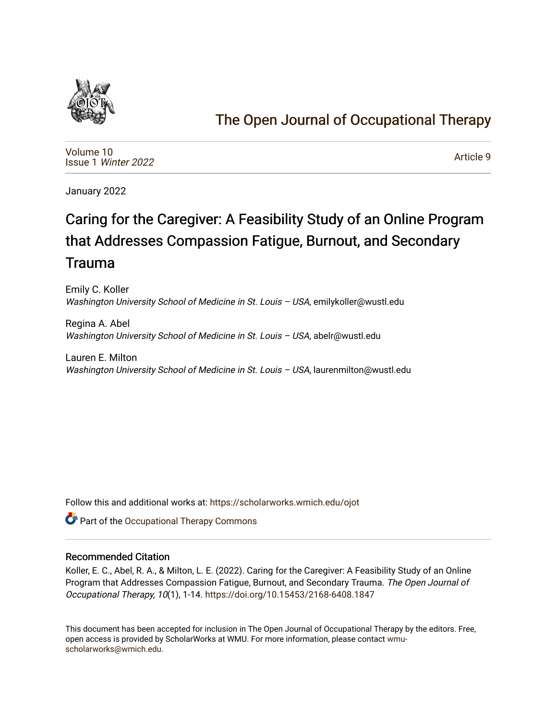

## [The Open Journal of Occupational Therapy](https://scholarworks.wmich.edu/ojot)

[Volume 10](https://scholarworks.wmich.edu/ojot/vol10) Issue 1 [Winter 2022](https://scholarworks.wmich.edu/ojot/vol10/iss1) 

[Article 9](https://scholarworks.wmich.edu/ojot/vol10/iss1/9) 

January 2022

# Caring for the Caregiver: A Feasibility Study of an Online Program that Addresses Compassion Fatigue, Burnout, and Secondary Trauma

Emily C. Koller Washington University School of Medicine in St. Louis - USA, emilykoller@wustl.edu

Regina A. Abel Washington University School of Medicine in St. Louis – USA, abelr@wustl.edu

Lauren E. Milton Washington University School of Medicine in St. Louis - USA, laurenmilton@wustl.edu

Follow this and additional works at: [https://scholarworks.wmich.edu/ojot](https://scholarworks.wmich.edu/ojot?utm_source=scholarworks.wmich.edu%2Fojot%2Fvol10%2Fiss1%2F9&utm_medium=PDF&utm_campaign=PDFCoverPages)

**C** Part of the Occupational Therapy Commons

## Recommended Citation

Koller, E. C., Abel, R. A., & Milton, L. E. (2022). Caring for the Caregiver: A Feasibility Study of an Online Program that Addresses Compassion Fatigue, Burnout, and Secondary Trauma. The Open Journal of Occupational Therapy, 10(1), 1-14. <https://doi.org/10.15453/2168-6408.1847>

This document has been accepted for inclusion in The Open Journal of Occupational Therapy by the editors. Free, open access is provided by ScholarWorks at WMU. For more information, please contact [wmu](mailto:wmu-scholarworks@wmich.edu)[scholarworks@wmich.edu.](mailto:wmu-scholarworks@wmich.edu)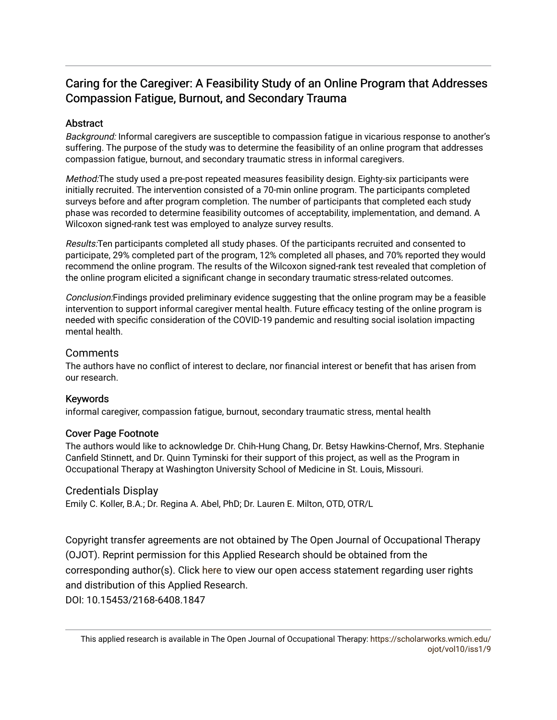## Caring for the Caregiver: A Feasibility Study of an Online Program that Addresses Compassion Fatigue, Burnout, and Secondary Trauma

## Abstract

Background: Informal caregivers are susceptible to compassion fatigue in vicarious response to another's suffering. The purpose of the study was to determine the feasibility of an online program that addresses compassion fatigue, burnout, and secondary traumatic stress in informal caregivers.

Method:The study used a pre-post repeated measures feasibility design. Eighty-six participants were initially recruited. The intervention consisted of a 70-min online program. The participants completed surveys before and after program completion. The number of participants that completed each study phase was recorded to determine feasibility outcomes of acceptability, implementation, and demand. A Wilcoxon signed-rank test was employed to analyze survey results.

Results:Ten participants completed all study phases. Of the participants recruited and consented to participate, 29% completed part of the program, 12% completed all phases, and 70% reported they would recommend the online program. The results of the Wilcoxon signed-rank test revealed that completion of the online program elicited a significant change in secondary traumatic stress-related outcomes.

Conclusion:Findings provided preliminary evidence suggesting that the online program may be a feasible intervention to support informal caregiver mental health. Future efficacy testing of the online program is needed with specific consideration of the COVID-19 pandemic and resulting social isolation impacting mental health.

## Comments

The authors have no conflict of interest to declare, nor financial interest or benefit that has arisen from our research.

## Keywords

informal caregiver, compassion fatigue, burnout, secondary traumatic stress, mental health

## Cover Page Footnote

The authors would like to acknowledge Dr. Chih-Hung Chang, Dr. Betsy Hawkins-Chernof, Mrs. Stephanie Canfield Stinnett, and Dr. Quinn Tyminski for their support of this project, as well as the Program in Occupational Therapy at Washington University School of Medicine in St. Louis, Missouri.

## Credentials Display

Emily C. Koller, B.A.; Dr. Regina A. Abel, PhD; Dr. Lauren E. Milton, OTD, OTR/L

Copyright transfer agreements are not obtained by The Open Journal of Occupational Therapy (OJOT). Reprint permission for this Applied Research should be obtained from the corresponding author(s). Click [here](https://scholarworks.wmich.edu/ojot/policies.html#rights) to view our open access statement regarding user rights and distribution of this Applied Research. DOI: 10.15453/2168-6408.1847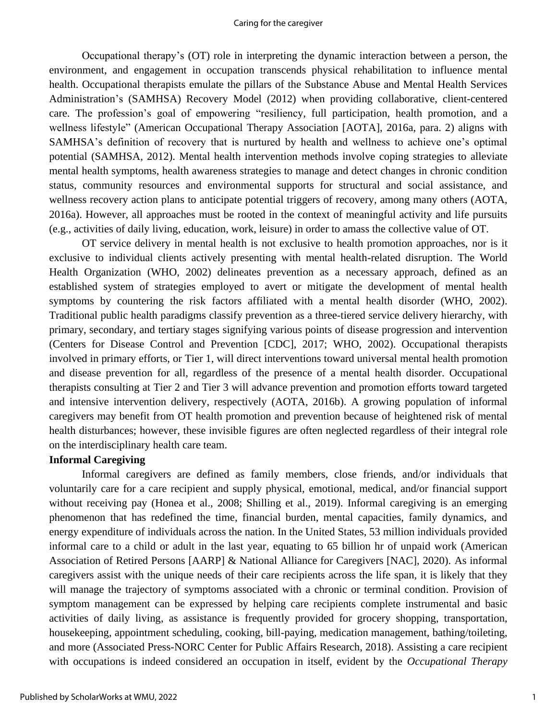#### Caring for the caregiver

Occupational therapy's (OT) role in interpreting the dynamic interaction between a person, the environment, and engagement in occupation transcends physical rehabilitation to influence mental health. Occupational therapists emulate the pillars of the Substance Abuse and Mental Health Services Administration's (SAMHSA) Recovery Model (2012) when providing collaborative, client-centered care. The profession's goal of empowering "resiliency, full participation, health promotion, and a wellness lifestyle" (American Occupational Therapy Association [AOTA], 2016a, para. 2) aligns with SAMHSA's definition of recovery that is nurtured by health and wellness to achieve one's optimal potential (SAMHSA, 2012). Mental health intervention methods involve coping strategies to alleviate mental health symptoms, health awareness strategies to manage and detect changes in chronic condition status, community resources and environmental supports for structural and social assistance, and wellness recovery action plans to anticipate potential triggers of recovery, among many others (AOTA, 2016a). However, all approaches must be rooted in the context of meaningful activity and life pursuits (e.g., activities of daily living, education, work, leisure) in order to amass the collective value of OT.

OT service delivery in mental health is not exclusive to health promotion approaches, nor is it exclusive to individual clients actively presenting with mental health-related disruption. The World Health Organization (WHO, 2002) delineates prevention as a necessary approach, defined as an established system of strategies employed to avert or mitigate the development of mental health symptoms by countering the risk factors affiliated with a mental health disorder (WHO, 2002). Traditional public health paradigms classify prevention as a three-tiered service delivery hierarchy, with primary, secondary, and tertiary stages signifying various points of disease progression and intervention (Centers for Disease Control and Prevention [CDC], 2017; WHO, 2002). Occupational therapists involved in primary efforts, or Tier 1, will direct interventions toward universal mental health promotion and disease prevention for all, regardless of the presence of a mental health disorder. Occupational therapists consulting at Tier 2 and Tier 3 will advance prevention and promotion efforts toward targeted and intensive intervention delivery, respectively (AOTA, 2016b). A growing population of informal caregivers may benefit from OT health promotion and prevention because of heightened risk of mental health disturbances; however, these invisible figures are often neglected regardless of their integral role on the interdisciplinary health care team.

### **Informal Caregiving**

Informal caregivers are defined as family members, close friends, and/or individuals that voluntarily care for a care recipient and supply physical, emotional, medical, and/or financial support without receiving pay (Honea et al., 2008; Shilling et al., 2019). Informal caregiving is an emerging phenomenon that has redefined the time, financial burden, mental capacities, family dynamics, and energy expenditure of individuals across the nation. In the United States, 53 million individuals provided informal care to a child or adult in the last year, equating to 65 billion hr of unpaid work (American Association of Retired Persons [AARP] & National Alliance for Caregivers [NAC], 2020). As informal caregivers assist with the unique needs of their care recipients across the life span, it is likely that they will manage the trajectory of symptoms associated with a chronic or terminal condition. Provision of symptom management can be expressed by helping care recipients complete instrumental and basic activities of daily living, as assistance is frequently provided for grocery shopping, transportation, housekeeping, appointment scheduling, cooking, bill-paying, medication management, bathing/toileting, and more (Associated Press-NORC Center for Public Affairs Research, 2018). Assisting a care recipient with occupations is indeed considered an occupation in itself, evident by the *Occupational Therapy*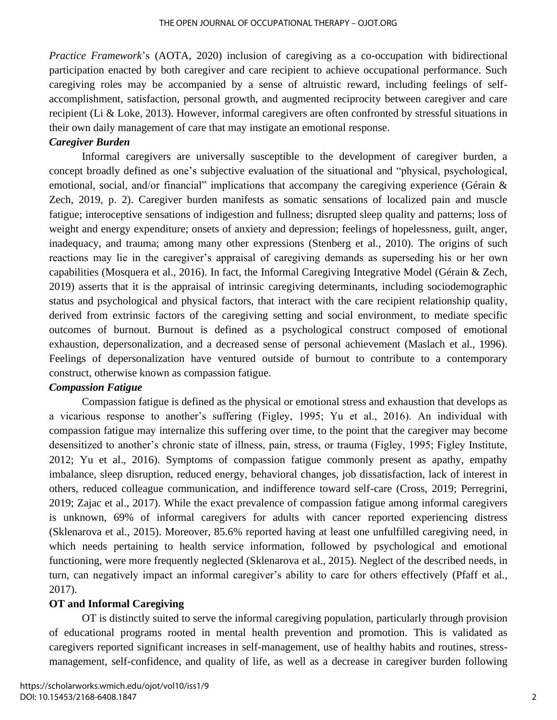*Practice Framework*'s (AOTA, 2020) inclusion of caregiving as a co-occupation with bidirectional participation enacted by both caregiver and care recipient to achieve occupational performance. Such caregiving roles may be accompanied by a sense of altruistic reward, including feelings of selfaccomplishment, satisfaction, personal growth, and augmented reciprocity between caregiver and care recipient (Li & Loke, 2013). However, informal caregivers are often confronted by stressful situations in their own daily management of care that may instigate an emotional response.

## *Caregiver Burden*

Informal caregivers are universally susceptible to the development of caregiver burden, a concept broadly defined as one's subjective evaluation of the situational and "physical, psychological, emotional, social, and/or financial" implications that accompany the caregiving experience (Gérain & Zech, 2019, p. 2). Caregiver burden manifests as somatic sensations of localized pain and muscle fatigue; interoceptive sensations of indigestion and fullness; disrupted sleep quality and patterns; loss of weight and energy expenditure; onsets of anxiety and depression; feelings of hopelessness, guilt, anger, inadequacy, and trauma; among many other expressions (Stenberg et al., 2010). The origins of such reactions may lie in the caregiver's appraisal of caregiving demands as superseding his or her own capabilities (Mosquera et al., 2016). In fact, the Informal Caregiving Integrative Model (Gérain & Zech, 2019) asserts that it is the appraisal of intrinsic caregiving determinants, including sociodemographic status and psychological and physical factors, that interact with the care recipient relationship quality, derived from extrinsic factors of the caregiving setting and social environment, to mediate specific outcomes of burnout. Burnout is defined as a psychological construct composed of emotional exhaustion, depersonalization, and a decreased sense of personal achievement (Maslach et al., 1996). Feelings of depersonalization have ventured outside of burnout to contribute to a contemporary construct, otherwise known as compassion fatigue.

## *Compassion Fatigue*

Compassion fatigue is defined as the physical or emotional stress and exhaustion that develops as a vicarious response to another's suffering (Figley, 1995; Yu et al., 2016). An individual with compassion fatigue may internalize this suffering over time, to the point that the caregiver may become desensitized to another's chronic state of illness, pain, stress, or trauma (Figley, 1995; Figley Institute, 2012; Yu et al., 2016). Symptoms of compassion fatigue commonly present as apathy, empathy imbalance, sleep disruption, reduced energy, behavioral changes, job dissatisfaction, lack of interest in others, reduced colleague communication, and indifference toward self-care (Cross, 2019; Perregrini, 2019; Zajac et al., 2017). While the exact prevalence of compassion fatigue among informal caregivers is unknown, 69% of informal caregivers for adults with cancer reported experiencing distress (Sklenarova et al., 2015). Moreover, 85.6% reported having at least one unfulfilled caregiving need, in which needs pertaining to health service information, followed by psychological and emotional functioning, were more frequently neglected (Sklenarova et al., 2015). Neglect of the described needs, in turn, can negatively impact an informal caregiver's ability to care for others effectively (Pfaff et al., 2017).

## **OT and Informal Caregiving**

OT is distinctly suited to serve the informal caregiving population, particularly through provision of educational programs rooted in mental health prevention and promotion. This is validated as caregivers reported significant increases in self-management, use of healthy habits and routines, stressmanagement, self-confidence, and quality of life, as well as a decrease in caregiver burden following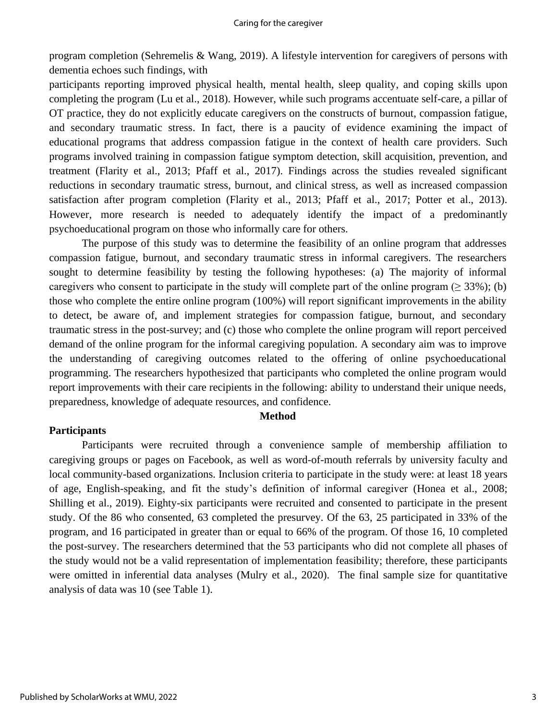program completion (Sehremelis & Wang, 2019). A lifestyle intervention for caregivers of persons with dementia echoes such findings, with

participants reporting improved physical health, mental health, sleep quality, and coping skills upon completing the program (Lu et al., 2018). However, while such programs accentuate self-care, a pillar of OT practice, they do not explicitly educate caregivers on the constructs of burnout, compassion fatigue, and secondary traumatic stress. In fact, there is a paucity of evidence examining the impact of educational programs that address compassion fatigue in the context of health care providers. Such programs involved training in compassion fatigue symptom detection, skill acquisition, prevention, and treatment (Flarity et al., 2013; Pfaff et al., 2017). Findings across the studies revealed significant reductions in secondary traumatic stress, burnout, and clinical stress, as well as increased compassion satisfaction after program completion (Flarity et al., 2013; Pfaff et al., 2017; Potter et al., 2013). However, more research is needed to adequately identify the impact of a predominantly psychoeducational program on those who informally care for others.

The purpose of this study was to determine the feasibility of an online program that addresses compassion fatigue, burnout, and secondary traumatic stress in informal caregivers. The researchers sought to determine feasibility by testing the following hypotheses: (a) The majority of informal caregivers who consent to participate in the study will complete part of the online program ( $\geq$  33%); (b) those who complete the entire online program (100%) will report significant improvements in the ability to detect, be aware of, and implement strategies for compassion fatigue, burnout, and secondary traumatic stress in the post-survey; and (c) those who complete the online program will report perceived demand of the online program for the informal caregiving population. A secondary aim was to improve the understanding of caregiving outcomes related to the offering of online psychoeducational programming. The researchers hypothesized that participants who completed the online program would report improvements with their care recipients in the following: ability to understand their unique needs, preparedness, knowledge of adequate resources, and confidence.

#### **Method**

#### **Participants**

Participants were recruited through a convenience sample of membership affiliation to caregiving groups or pages on Facebook, as well as word-of-mouth referrals by university faculty and local community-based organizations. Inclusion criteria to participate in the study were: at least 18 years of age, English-speaking, and fit the study's definition of informal caregiver (Honea et al., 2008; Shilling et al., 2019). Eighty-six participants were recruited and consented to participate in the present study. Of the 86 who consented, 63 completed the presurvey. Of the 63, 25 participated in 33% of the program, and 16 participated in greater than or equal to 66% of the program. Of those 16, 10 completed the post-survey. The researchers determined that the 53 participants who did not complete all phases of the study would not be a valid representation of implementation feasibility; therefore, these participants were omitted in inferential data analyses (Mulry et al., 2020). The final sample size for quantitative analysis of data was 10 (see Table 1).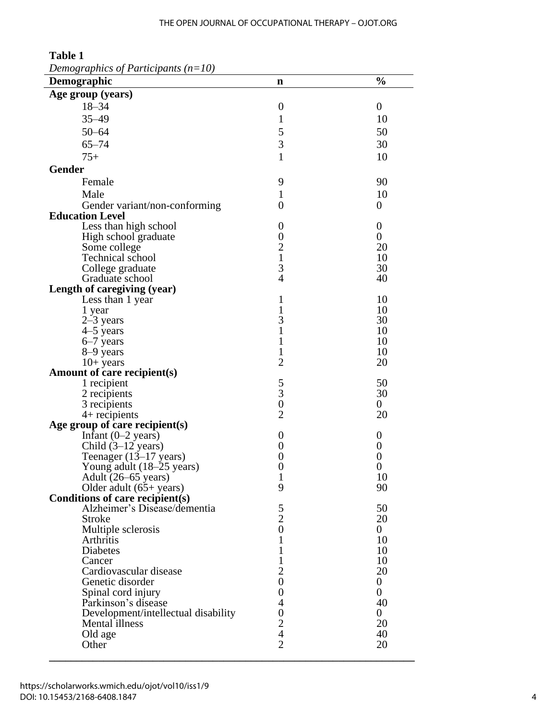#### THE OPEN JOURNAL OF OCCUPATIONAL THERAPY – OJOT.ORG

| $D$ cho $S$ applies by T annopamis $(n-10)$<br>Demographic | n                   | $\frac{0}{0}$        |
|------------------------------------------------------------|---------------------|----------------------|
| Age group (years)                                          |                     |                      |
| $18 - 34$                                                  | $\boldsymbol{0}$    | $\boldsymbol{0}$     |
|                                                            |                     |                      |
| $35 - 49$                                                  | 1                   | 10                   |
| $50 - 64$                                                  | 5                   | 50                   |
| $65 - 74$                                                  | 3                   | 30                   |
| $75+$                                                      | $\mathbf{1}$        | 10                   |
| <b>Gender</b>                                              |                     |                      |
| Female                                                     | 9                   | 90                   |
| Male                                                       |                     | 10                   |
|                                                            | 1                   |                      |
| Gender variant/non-conforming<br><b>Education Level</b>    | $\overline{0}$      | $\theta$             |
|                                                            | $\boldsymbol{0}$    | $\boldsymbol{0}$     |
| Less than high school                                      | $\boldsymbol{0}$    | $\boldsymbol{0}$     |
| High school graduate<br>Some college                       |                     | 20                   |
| Technical school                                           | $\frac{2}{1}$       | 10                   |
|                                                            | 3                   | 30                   |
| College graduate<br>Graduate school                        | $\overline{4}$      | 40                   |
| Length of caregiving (year)                                |                     |                      |
| Less than 1 year                                           | 1                   | 10                   |
| 1 year                                                     | 1                   | 10                   |
| $2-3$ years                                                | 3                   | 30                   |
| 4-5 years                                                  | $\mathbf{1}$        | 10                   |
| 6-7 years                                                  | $\mathbf{1}$        | 10                   |
| 8-9 years                                                  | 1                   | 10                   |
| $10+$ years                                                | $\overline{2}$      | 20                   |
| Amount of care recipient(s)                                |                     |                      |
| 1 recipient                                                | 5                   | 50                   |
| 2 recipients                                               | $\overline{3}$      | 30                   |
| 3 recipients                                               | $\overline{0}$      | $\overline{0}$       |
| $4+$ recipients                                            | $\overline{2}$      | 20                   |
| Age group of care recipient(s)                             |                     |                      |
| Infant $(0-2 \text{ years})$                               | $\boldsymbol{0}$    | $\boldsymbol{0}$     |
| Child $(3-12 \text{ years})$                               | $\boldsymbol{0}$    | $\boldsymbol{0}$     |
| Teenager (13–17 years)                                     | $\boldsymbol{0}$    | $\boldsymbol{0}$     |
| Young adult (18-25 years)                                  | $\boldsymbol{0}$    | 0                    |
| Adult $(26-65 \text{ years})$                              |                     | 10                   |
| Older adult (65+ years)                                    | 9                   | 90                   |
| Conditions of care recipient(s)                            |                     |                      |
| Alzheimer's Disease/dementia                               | $\frac{5}{2}$       | 50                   |
| Stroke                                                     |                     | 20                   |
| Multiple sclerosis                                         | $\overline{0}$      | $\overline{0}$       |
| Arthritis                                                  | 1                   | 10                   |
| Diabetes                                                   | 1                   | 10                   |
| Cancer                                                     | 1                   | 10                   |
| Cardiovascular disease                                     | $\overline{2}$      | 20                   |
| Genetic disorder                                           | $\overline{0}$      | $\boldsymbol{0}$     |
| Spinal cord injury                                         | $\overline{0}$<br>4 | $\overline{0}$       |
| Parkinson's disease                                        | $\overline{0}$      | 40<br>$\overline{0}$ |
| Development/intellectual disability<br>Mental illness      | $\overline{2}$      | 20                   |
| Old age                                                    | $\overline{4}$      | 40                   |
| Other                                                      | $\overline{2}$      | 20                   |
|                                                            |                     |                      |

**Table 1** *Demographics of Participants (n=10)*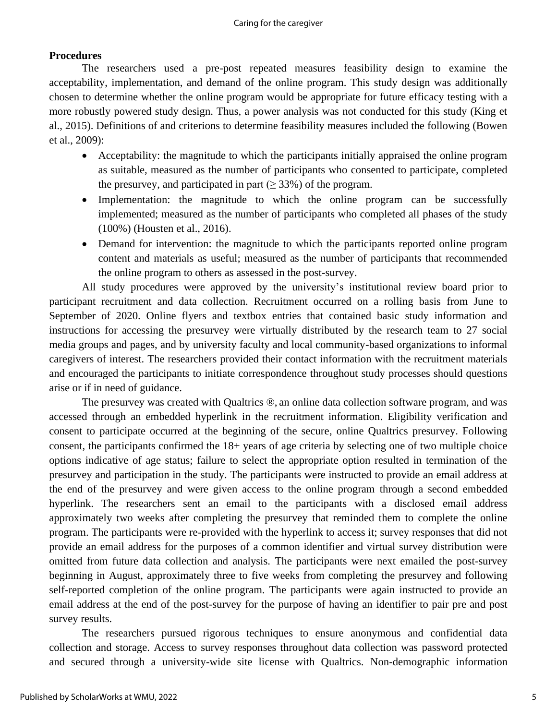## **Procedures**

The researchers used a pre-post repeated measures feasibility design to examine the acceptability, implementation, and demand of the online program. This study design was additionally chosen to determine whether the online program would be appropriate for future efficacy testing with a more robustly powered study design. Thus, a power analysis was not conducted for this study (King et al., 2015). Definitions of and criterions to determine feasibility measures included the following (Bowen et al., 2009):

- Acceptability: the magnitude to which the participants initially appraised the online program as suitable, measured as the number of participants who consented to participate, completed the presurvey, and participated in part ( $\geq$  33%) of the program.
- Implementation: the magnitude to which the online program can be successfully implemented; measured as the number of participants who completed all phases of the study (100%) (Housten et al., 2016).
- Demand for intervention: the magnitude to which the participants reported online program content and materials as useful; measured as the number of participants that recommended the online program to others as assessed in the post-survey.

All study procedures were approved by the university's institutional review board prior to participant recruitment and data collection. Recruitment occurred on a rolling basis from June to September of 2020. Online flyers and textbox entries that contained basic study information and instructions for accessing the presurvey were virtually distributed by the research team to 27 social media groups and pages, and by university faculty and local community-based organizations to informal caregivers of interest. The researchers provided their contact information with the recruitment materials and encouraged the participants to initiate correspondence throughout study processes should questions arise or if in need of guidance.

The presurvey was created with Qualtrics ®, an online data collection software program, and was accessed through an embedded hyperlink in the recruitment information. Eligibility verification and consent to participate occurred at the beginning of the secure, online Qualtrics presurvey. Following consent, the participants confirmed the 18+ years of age criteria by selecting one of two multiple choice options indicative of age status; failure to select the appropriate option resulted in termination of the presurvey and participation in the study. The participants were instructed to provide an email address at the end of the presurvey and were given access to the online program through a second embedded hyperlink. The researchers sent an email to the participants with a disclosed email address approximately two weeks after completing the presurvey that reminded them to complete the online program. The participants were re-provided with the hyperlink to access it; survey responses that did not provide an email address for the purposes of a common identifier and virtual survey distribution were omitted from future data collection and analysis. The participants were next emailed the post-survey beginning in August, approximately three to five weeks from completing the presurvey and following self-reported completion of the online program. The participants were again instructed to provide an email address at the end of the post-survey for the purpose of having an identifier to pair pre and post survey results.

The researchers pursued rigorous techniques to ensure anonymous and confidential data collection and storage. Access to survey responses throughout data collection was password protected and secured through a university-wide site license with Qualtrics. Non-demographic information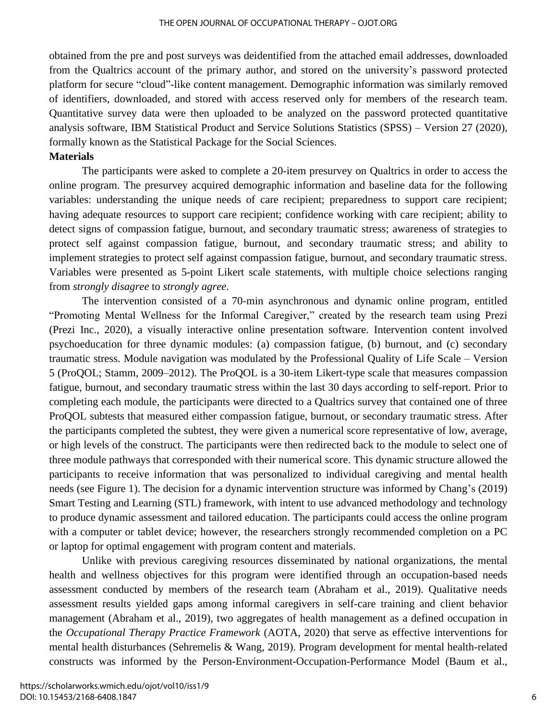obtained from the pre and post surveys was deidentified from the attached email addresses, downloaded from the Qualtrics account of the primary author, and stored on the university's password protected platform for secure "cloud"-like content management. Demographic information was similarly removed of identifiers, downloaded, and stored with access reserved only for members of the research team. Quantitative survey data were then uploaded to be analyzed on the password protected quantitative analysis software, IBM Statistical Product and Service Solutions Statistics (SPSS) – Version 27 (2020), formally known as the Statistical Package for the Social Sciences.

#### **Materials**

The participants were asked to complete a 20-item presurvey on Qualtrics in order to access the online program. The presurvey acquired demographic information and baseline data for the following variables: understanding the unique needs of care recipient; preparedness to support care recipient; having adequate resources to support care recipient; confidence working with care recipient; ability to detect signs of compassion fatigue, burnout, and secondary traumatic stress; awareness of strategies to protect self against compassion fatigue, burnout, and secondary traumatic stress; and ability to implement strategies to protect self against compassion fatigue, burnout, and secondary traumatic stress. Variables were presented as 5-point Likert scale statements, with multiple choice selections ranging from *strongly disagree* to *strongly agree*.

The intervention consisted of a 70-min asynchronous and dynamic online program, entitled "Promoting Mental Wellness for the Informal Caregiver," created by the research team using Prezi (Prezi Inc., 2020), a visually interactive online presentation software. Intervention content involved psychoeducation for three dynamic modules: (a) compassion fatigue, (b) burnout, and (c) secondary traumatic stress. Module navigation was modulated by the Professional Quality of Life Scale – Version 5 (ProQOL; Stamm, 2009–2012). The ProQOL is a 30-item Likert-type scale that measures compassion fatigue, burnout, and secondary traumatic stress within the last 30 days according to self-report. Prior to completing each module, the participants were directed to a Qualtrics survey that contained one of three ProQOL subtests that measured either compassion fatigue, burnout, or secondary traumatic stress. After the participants completed the subtest, they were given a numerical score representative of low, average, or high levels of the construct. The participants were then redirected back to the module to select one of three module pathways that corresponded with their numerical score. This dynamic structure allowed the participants to receive information that was personalized to individual caregiving and mental health needs (see Figure 1). The decision for a dynamic intervention structure was informed by Chang's (2019) Smart Testing and Learning (STL) framework, with intent to use advanced methodology and technology to produce dynamic assessment and tailored education. The participants could access the online program with a computer or tablet device; however, the researchers strongly recommended completion on a PC or laptop for optimal engagement with program content and materials.

Unlike with previous caregiving resources disseminated by national organizations, the mental health and wellness objectives for this program were identified through an occupation-based needs assessment conducted by members of the research team (Abraham et al., 2019). Qualitative needs assessment results yielded gaps among informal caregivers in self-care training and client behavior management (Abraham et al., 2019), two aggregates of health management as a defined occupation in the *Occupational Therapy Practice Framework* (AOTA, 2020) that serve as effective interventions for mental health disturbances (Sehremelis & Wang, 2019). Program development for mental health-related constructs was informed by the Person-Environment-Occupation-Performance Model (Baum et al.,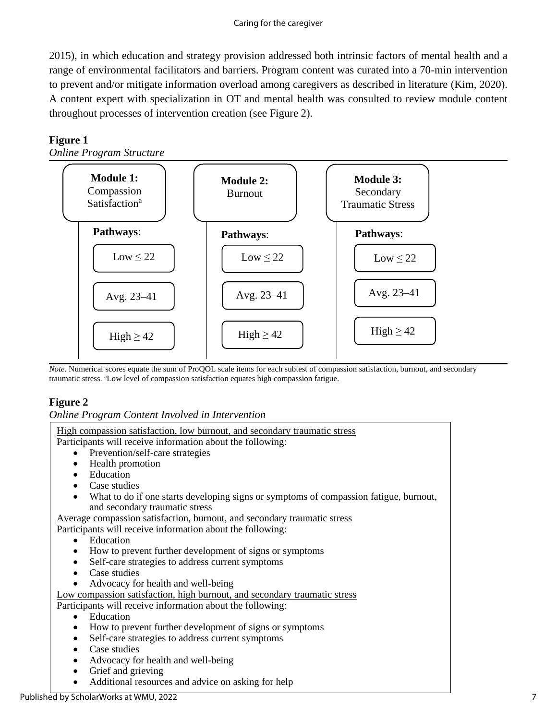#### Caring for the caregiver

2015), in which education and strategy provision addressed both intrinsic factors of mental health and a range of environmental facilitators and barriers. Program content was curated into a 70-min intervention to prevent and/or mitigate information overload among caregivers as described in literature (Kim, 2020). A content expert with specialization in OT and mental health was consulted to review module content throughout processes of intervention creation (see Figure 2).

## **Figure 1**

*Online Program Structure*



*Note.* Numerical scores equate the sum of ProQOL scale items for each subtest of compassion satisfaction, burnout, and secondary traumatic stress. <sup>a</sup>Low level of compassion satisfaction equates high compassion fatigue.

## **Figure 2**

*Online Program Content Involved in Intervention*

| High compassion satisfaction, low burnout, and secondary traumatic stress                          |
|----------------------------------------------------------------------------------------------------|
| Participants will receive information about the following:                                         |
| • Prevention/self-care strategies                                                                  |
| Health promotion<br>$\bullet$                                                                      |
| Education<br>$\bullet$                                                                             |
| Case studies                                                                                       |
| What to do if one starts developing signs or symptoms of compassion fatigue, burnout,<br>$\bullet$ |
| and secondary traumatic stress                                                                     |
| Average compassion satisfaction, burnout, and secondary traumatic stress                           |
| Participants will receive information about the following:                                         |
| Education<br>$\bullet$                                                                             |
| How to prevent further development of signs or symptoms<br>$\bullet$                               |
| Self-care strategies to address current symptoms<br>$\bullet$                                      |
| Case studies<br>$\bullet$                                                                          |
| Advocacy for health and well-being                                                                 |
| Low compassion satisfaction, high burnout, and secondary traumatic stress                          |
| Participants will receive information about the following:                                         |
| Education<br>$\bullet$                                                                             |
| How to prevent further development of signs or symptoms<br>$\bullet$                               |
| Self-care strategies to address current symptoms<br>$\bullet$                                      |
| Case studies<br>$\bullet$                                                                          |
| Advocacy for health and well-being<br>$\bullet$                                                    |
| Grief and grieving<br>$\bullet$                                                                    |
| Additional resources and advice on asking for help                                                 |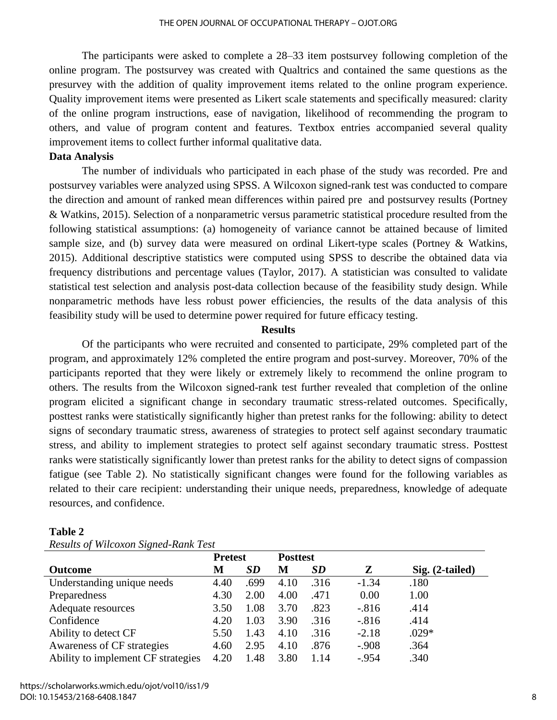The participants were asked to complete a 28–33 item postsurvey following completion of the online program. The postsurvey was created with Qualtrics and contained the same questions as the presurvey with the addition of quality improvement items related to the online program experience. Quality improvement items were presented as Likert scale statements and specifically measured: clarity of the online program instructions, ease of navigation, likelihood of recommending the program to others, and value of program content and features. Textbox entries accompanied several quality improvement items to collect further informal qualitative data.

#### **Data Analysis**

The number of individuals who participated in each phase of the study was recorded. Pre and postsurvey variables were analyzed using SPSS. A Wilcoxon signed-rank test was conducted to compare the direction and amount of ranked mean differences within paired pre and postsurvey results (Portney & Watkins, 2015). Selection of a nonparametric versus parametric statistical procedure resulted from the following statistical assumptions: (a) homogeneity of variance cannot be attained because of limited sample size, and (b) survey data were measured on ordinal Likert-type scales (Portney & Watkins, 2015). Additional descriptive statistics were computed using SPSS to describe the obtained data via frequency distributions and percentage values (Taylor, 2017). A statistician was consulted to validate statistical test selection and analysis post-data collection because of the feasibility study design. While nonparametric methods have less robust power efficiencies, the results of the data analysis of this feasibility study will be used to determine power required for future efficacy testing.

## **Results**

Of the participants who were recruited and consented to participate, 29% completed part of the program, and approximately 12% completed the entire program and post-survey. Moreover, 70% of the participants reported that they were likely or extremely likely to recommend the online program to others. The results from the Wilcoxon signed-rank test further revealed that completion of the online program elicited a significant change in secondary traumatic stress-related outcomes. Specifically, posttest ranks were statistically significantly higher than pretest ranks for the following: ability to detect signs of secondary traumatic stress, awareness of strategies to protect self against secondary traumatic stress, and ability to implement strategies to protect self against secondary traumatic stress. Posttest ranks were statistically significantly lower than pretest ranks for the ability to detect signs of compassion fatigue (see Table 2). No statistically significant changes were found for the following variables as related to their care recipient: understanding their unique needs, preparedness, knowledge of adequate resources, and confidence.

| Results of Wilcoxon Signed-Rank Lest |                |           |                 |           |         |                   |
|--------------------------------------|----------------|-----------|-----------------|-----------|---------|-------------------|
|                                      | <b>Pretest</b> |           | <b>Posttest</b> |           |         |                   |
| <b>Outcome</b>                       | М              | <b>SD</b> | М               | <i>SD</i> | Z       | $Sig. (2-tailed)$ |
| Understanding unique needs           | 4.40           | .699      | 4.10            | .316      | $-1.34$ | .180              |
| Preparedness                         | 4.30           | 2.00      | 4.00            | .471      | 0.00    | 1.00              |
| Adequate resources                   | 3.50           | 1.08      | 3.70            | .823      | $-.816$ | .414              |
| Confidence                           | 4.20           | 1.03      | 3.90            | .316      | $-.816$ | .414              |
| Ability to detect CF                 | 5.50           | 1.43      | 4.10            | .316      | $-2.18$ | $.029*$           |
| Awareness of CF strategies           | 4.60           | 2.95      | 4.10            | .876      | $-.908$ | .364              |
| Ability to implement CF strategies   | 4.20           | 1.48      | 3.80            | 1.14      | $-.954$ | .340              |

#### **Table 2**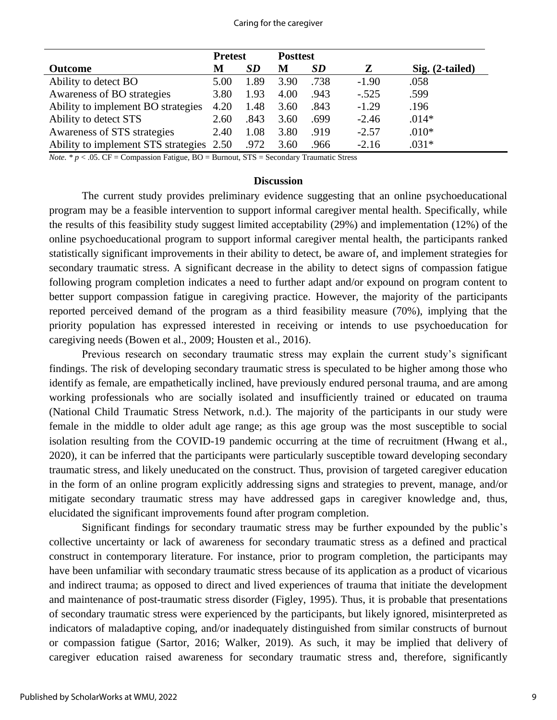#### Caring for the caregiver

|                                          | <b>Pretest</b> |      | <b>Posttest</b> |           |         |                   |
|------------------------------------------|----------------|------|-----------------|-----------|---------|-------------------|
| <b>Outcome</b>                           | М              | SD   | M               | <i>SD</i> | Z       | $Sig. (2-tailed)$ |
| Ability to detect BO                     | 5.00           | 1.89 | 3.90            | .738      | $-1.90$ | .058              |
| Awareness of BO strategies               | 3.80           | 1.93 | 4.00            | .943      | $-.525$ | .599              |
| Ability to implement BO strategies       | 4.20           | 1.48 | 3.60            | .843      | $-1.29$ | .196              |
| Ability to detect STS                    | 2.60           | .843 | 3.60            | .699      | $-2.46$ | $.014*$           |
| Awareness of STS strategies              | 2.40           | 1.08 | 3.80            | .919      | $-2.57$ | $.010*$           |
| Ability to implement STS strategies 2.50 |                | .972 | 3.60            | .966      | $-2.16$ | $.031*$           |

*Note.* \*  $p < .05$ . CF = Compassion Fatigue, BO = Burnout, STS = Secondary Traumatic Stress

### **Discussion**

The current study provides preliminary evidence suggesting that an online psychoeducational program may be a feasible intervention to support informal caregiver mental health. Specifically, while the results of this feasibility study suggest limited acceptability (29%) and implementation (12%) of the online psychoeducational program to support informal caregiver mental health, the participants ranked statistically significant improvements in their ability to detect, be aware of, and implement strategies for secondary traumatic stress. A significant decrease in the ability to detect signs of compassion fatigue following program completion indicates a need to further adapt and/or expound on program content to better support compassion fatigue in caregiving practice. However, the majority of the participants reported perceived demand of the program as a third feasibility measure (70%), implying that the priority population has expressed interested in receiving or intends to use psychoeducation for caregiving needs (Bowen et al., 2009; Housten et al., 2016).

Previous research on secondary traumatic stress may explain the current study's significant findings. The risk of developing secondary traumatic stress is speculated to be higher among those who identify as female, are empathetically inclined, have previously endured personal trauma, and are among working professionals who are socially isolated and insufficiently trained or educated on trauma (National Child Traumatic Stress Network, n.d.). The majority of the participants in our study were female in the middle to older adult age range; as this age group was the most susceptible to social isolation resulting from the COVID-19 pandemic occurring at the time of recruitment (Hwang et al., 2020), it can be inferred that the participants were particularly susceptible toward developing secondary traumatic stress, and likely uneducated on the construct. Thus, provision of targeted caregiver education in the form of an online program explicitly addressing signs and strategies to prevent, manage, and/or mitigate secondary traumatic stress may have addressed gaps in caregiver knowledge and, thus, elucidated the significant improvements found after program completion.

Significant findings for secondary traumatic stress may be further expounded by the public's collective uncertainty or lack of awareness for secondary traumatic stress as a defined and practical construct in contemporary literature. For instance, prior to program completion, the participants may have been unfamiliar with secondary traumatic stress because of its application as a product of vicarious and indirect trauma; as opposed to direct and lived experiences of trauma that initiate the development and maintenance of post-traumatic stress disorder (Figley, 1995). Thus, it is probable that presentations of secondary traumatic stress were experienced by the participants, but likely ignored, misinterpreted as indicators of maladaptive coping, and/or inadequately distinguished from similar constructs of burnout or compassion fatigue (Sartor, 2016; Walker, 2019). As such, it may be implied that delivery of caregiver education raised awareness for secondary traumatic stress and, therefore, significantly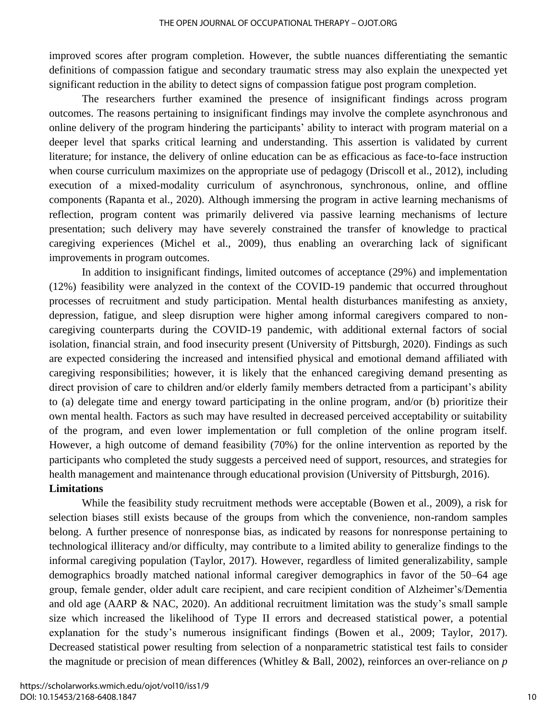improved scores after program completion. However, the subtle nuances differentiating the semantic definitions of compassion fatigue and secondary traumatic stress may also explain the unexpected yet significant reduction in the ability to detect signs of compassion fatigue post program completion.

The researchers further examined the presence of insignificant findings across program outcomes. The reasons pertaining to insignificant findings may involve the complete asynchronous and online delivery of the program hindering the participants' ability to interact with program material on a deeper level that sparks critical learning and understanding. This assertion is validated by current literature; for instance, the delivery of online education can be as efficacious as face-to-face instruction when course curriculum maximizes on the appropriate use of pedagogy (Driscoll et al., 2012), including execution of a mixed-modality curriculum of asynchronous, synchronous, online, and offline components (Rapanta et al., 2020). Although immersing the program in active learning mechanisms of reflection, program content was primarily delivered via passive learning mechanisms of lecture presentation; such delivery may have severely constrained the transfer of knowledge to practical caregiving experiences (Michel et al., 2009), thus enabling an overarching lack of significant improvements in program outcomes.

In addition to insignificant findings, limited outcomes of acceptance (29%) and implementation (12%) feasibility were analyzed in the context of the COVID-19 pandemic that occurred throughout processes of recruitment and study participation. Mental health disturbances manifesting as anxiety, depression, fatigue, and sleep disruption were higher among informal caregivers compared to noncaregiving counterparts during the COVID-19 pandemic, with additional external factors of social isolation, financial strain, and food insecurity present (University of Pittsburgh, 2020). Findings as such are expected considering the increased and intensified physical and emotional demand affiliated with caregiving responsibilities; however, it is likely that the enhanced caregiving demand presenting as direct provision of care to children and/or elderly family members detracted from a participant's ability to (a) delegate time and energy toward participating in the online program, and/or (b) prioritize their own mental health. Factors as such may have resulted in decreased perceived acceptability or suitability of the program, and even lower implementation or full completion of the online program itself. However, a high outcome of demand feasibility (70%) for the online intervention as reported by the participants who completed the study suggests a perceived need of support, resources, and strategies for health management and maintenance through educational provision (University of Pittsburgh, 2016). **Limitations** 

While the feasibility study recruitment methods were acceptable (Bowen et al., 2009), a risk for selection biases still exists because of the groups from which the convenience, non-random samples belong. A further presence of nonresponse bias, as indicated by reasons for nonresponse pertaining to technological illiteracy and/or difficulty, may contribute to a limited ability to generalize findings to the informal caregiving population (Taylor, 2017). However, regardless of limited generalizability, sample demographics broadly matched national informal caregiver demographics in favor of the 50–64 age group, female gender, older adult care recipient, and care recipient condition of Alzheimer's/Dementia and old age (AARP & NAC, 2020). An additional recruitment limitation was the study's small sample size which increased the likelihood of Type II errors and decreased statistical power, a potential explanation for the study's numerous insignificant findings (Bowen et al., 2009; Taylor, 2017). Decreased statistical power resulting from selection of a nonparametric statistical test fails to consider the magnitude or precision of mean differences (Whitley & Ball, 2002), reinforces an over-reliance on *p*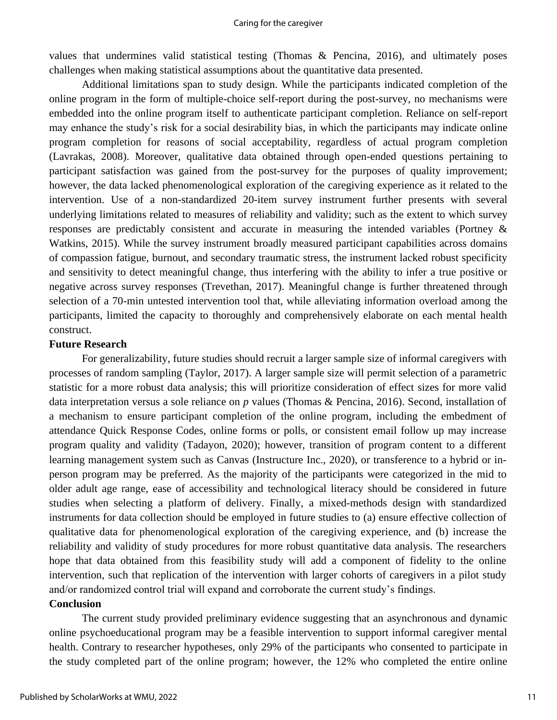values that undermines valid statistical testing (Thomas & Pencina, 2016), and ultimately poses challenges when making statistical assumptions about the quantitative data presented.

Additional limitations span to study design. While the participants indicated completion of the online program in the form of multiple-choice self-report during the post-survey, no mechanisms were embedded into the online program itself to authenticate participant completion. Reliance on self-report may enhance the study's risk for a social desirability bias, in which the participants may indicate online program completion for reasons of social acceptability, regardless of actual program completion (Lavrakas, 2008). Moreover, qualitative data obtained through open-ended questions pertaining to participant satisfaction was gained from the post-survey for the purposes of quality improvement; however, the data lacked phenomenological exploration of the caregiving experience as it related to the intervention. Use of a non-standardized 20-item survey instrument further presents with several underlying limitations related to measures of reliability and validity; such as the extent to which survey responses are predictably consistent and accurate in measuring the intended variables (Portney & Watkins, 2015). While the survey instrument broadly measured participant capabilities across domains of compassion fatigue, burnout, and secondary traumatic stress, the instrument lacked robust specificity and sensitivity to detect meaningful change, thus interfering with the ability to infer a true positive or negative across survey responses (Trevethan, 2017). Meaningful change is further threatened through selection of a 70-min untested intervention tool that, while alleviating information overload among the participants, limited the capacity to thoroughly and comprehensively elaborate on each mental health construct.

## **Future Research**

For generalizability, future studies should recruit a larger sample size of informal caregivers with processes of random sampling (Taylor, 2017). A larger sample size will permit selection of a parametric statistic for a more robust data analysis; this will prioritize consideration of effect sizes for more valid data interpretation versus a sole reliance on *p* values (Thomas & Pencina, 2016). Second, installation of a mechanism to ensure participant completion of the online program, including the embedment of attendance Quick Response Codes, online forms or polls, or consistent email follow up may increase program quality and validity (Tadayon, 2020); however, transition of program content to a different learning management system such as Canvas (Instructure Inc., 2020), or transference to a hybrid or inperson program may be preferred. As the majority of the participants were categorized in the mid to older adult age range, ease of accessibility and technological literacy should be considered in future studies when selecting a platform of delivery. Finally, a mixed-methods design with standardized instruments for data collection should be employed in future studies to (a) ensure effective collection of qualitative data for phenomenological exploration of the caregiving experience, and (b) increase the reliability and validity of study procedures for more robust quantitative data analysis. The researchers hope that data obtained from this feasibility study will add a component of fidelity to the online intervention, such that replication of the intervention with larger cohorts of caregivers in a pilot study and/or randomized control trial will expand and corroborate the current study's findings.

## **Conclusion**

The current study provided preliminary evidence suggesting that an asynchronous and dynamic online psychoeducational program may be a feasible intervention to support informal caregiver mental health. Contrary to researcher hypotheses, only 29% of the participants who consented to participate in the study completed part of the online program; however, the 12% who completed the entire online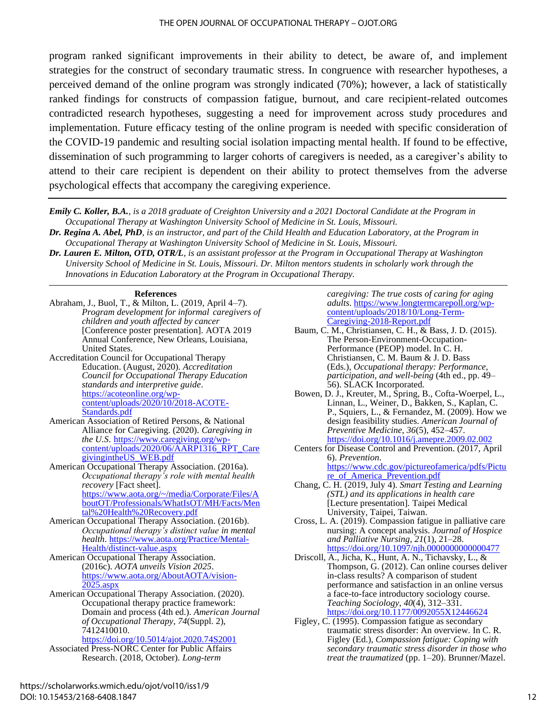program ranked significant improvements in their ability to detect, be aware of, and implement strategies for the construct of secondary traumatic stress. In congruence with researcher hypotheses, a perceived demand of the online program was strongly indicated (70%); however, a lack of statistically ranked findings for constructs of compassion fatigue, burnout, and care recipient-related outcomes contradicted research hypotheses, suggesting a need for improvement across study procedures and implementation. Future efficacy testing of the online program is needed with specific consideration of the COVID-19 pandemic and resulting social isolation impacting mental health. If found to be effective, dissemination of such programming to larger cohorts of caregivers is needed, as a caregiver's ability to attend to their care recipient is dependent on their ability to protect themselves from the adverse psychological effects that accompany the caregiving experience.

*Emily C. Koller, B.A., is a 2018 graduate of Creighton University and a 2021 Doctoral Candidate at the Program in Occupational Therapy at Washington University School of Medicine in St. Louis, Missouri.*

*Dr. Regina A. Abel, PhD, is an instructor, and part of the Child Health and Education Laboratory, at the Program in Occupational Therapy at Washington University School of Medicine in St. Louis, Missouri.*

*Dr. Lauren E. Milton, OTD, OTR/L, is an assistant professor at the Program in Occupational Therapy at Washington University School of Medicine in St. Louis, Missouri. Dr. Milton mentors students in scholarly work through the Innovations in Education Laboratory at the Program in Occupational Therapy.*

#### **References**

Abraham, J., Buol, T., & Milton, L. (2019, April 4–7). *Program development for informal caregivers of children and youth affected by cancer* [Conference poster presentation]. AOTA 2019 Annual Conference, New Orleans, Louisiana, United States.

Accreditation Council for Occupational Therapy Education. (August, 2020). *Accreditation Council for Occupational Therapy Education standards and interpretive guide*. [https://acoteonline.org/wp](https://acoteonline.org/wp-content/uploads/2020/10/2018-ACOTE-Standards.pdf)[content/uploads/2020/10/2018-ACOTE-](https://acoteonline.org/wp-content/uploads/2020/10/2018-ACOTE-Standards.pdf)[Standards.pdf](https://acoteonline.org/wp-content/uploads/2020/10/2018-ACOTE-Standards.pdf)

- American Association of Retired Persons, & National Alliance for Caregiving. (2020). *Caregiving in the U.S*. [https://www.caregiving.org/wp](https://www.caregiving.org/wp-content/uploads/2020/06/AARP1316_RPT_CaregivingintheUS_WEB.pdf)[content/uploads/2020/06/AARP1316\\_RPT\\_Care](https://www.caregiving.org/wp-content/uploads/2020/06/AARP1316_RPT_CaregivingintheUS_WEB.pdf) [givingintheUS\\_WEB.pdf](https://www.caregiving.org/wp-content/uploads/2020/06/AARP1316_RPT_CaregivingintheUS_WEB.pdf)
- American Occupational Therapy Association. (2016a). *Occupational therapy's role with mental health recovery* [Fact sheet]. [https://www.aota.org/~/media/Corporate/Files/A](https://www.aota.org/~/media/Corporate/Files/AboutOT/Professionals/WhatIsOT/MH/Facts/Mental%20Health%20Recovery.pdf) [boutOT/Professionals/WhatIsOT/MH/Facts/Men](https://www.aota.org/~/media/Corporate/Files/AboutOT/Professionals/WhatIsOT/MH/Facts/Mental%20Health%20Recovery.pdf)

[tal%20Health%20Recovery.pdf](https://www.aota.org/~/media/Corporate/Files/AboutOT/Professionals/WhatIsOT/MH/Facts/Mental%20Health%20Recovery.pdf) American Occupational Therapy Association. (2016b). *Occupational therapy's distinct value in mental* 

- *health*. [https://www.aota.org/Practice/Mental-](https://www.aota.org/Practice/Mental-Health/distinct-value.aspx)[Health/distinct-value.aspx](https://www.aota.org/Practice/Mental-Health/distinct-value.aspx)
- American Occupational Therapy Association. (2016c). *AOTA unveils Vision 2025*. [https://www.aota.org/AboutAOTA/vision-](https://www.aota.org/AboutAOTA/vision-2025.aspx) $2025 \text{.aspx}$
- American Occupational Therapy Association. (2020). Occupational therapy practice framework: Domain and process (4th ed.). *American Journal of Occupational Therapy*, *74*(Suppl. 2), 7412410010.

<https://doi.org/10.5014/ajot.2020.74S2001>

Associated Press-NORC Center for Public Affairs Research. (2018, October). *Long-term* 

*caregiving: The true costs of caring for aging adults*. [https://www.longtermcarepoll.org/wp](https://www.longtermcarepoll.org/wp-content/uploads/2018/10/Long-Term-Caregiving-2018-Report.pdf)[content/uploads/2018/10/Long-Term-](https://www.longtermcarepoll.org/wp-content/uploads/2018/10/Long-Term-Caregiving-2018-Report.pdf)[Caregiving-2018-Report.pdf](https://www.longtermcarepoll.org/wp-content/uploads/2018/10/Long-Term-Caregiving-2018-Report.pdf)

- Baum, C. M., Christiansen, C. H., & Bass, J. D. (2015). The Person-Environment-Occupation-Performance (PEOP) model. In C. H. Christiansen, C. M. Baum & J. D. Bass (Eds.), *Occupational therapy: Performance, participation, and well-being* (4th ed., pp. 49– 56). SLACK Incorporated.
- Bowen, D. J., Kreuter, M., Spring, B., Cofta-Woerpel, L., Linnan, L., Weiner, D., Bakken, S., Kaplan, C. P., Squiers, L., & Fernandez, M. (2009). How we design feasibility studies. *American Journal of Preventive Medicine*, *36*(5), 452–457. <https://doi.org/10.1016/j.amepre.2009.02.002>
- Centers for Disease Control and Prevention. (2017, April 6). *Prevention*. [https://www.cdc.gov/pictureofamerica/pdfs/Pictu](https://www.cdc.gov/pictureofamerica/pdfs/Picture_of_America_Prevention.pdf) [re\\_of\\_America\\_Prevention.pdf](https://www.cdc.gov/pictureofamerica/pdfs/Picture_of_America_Prevention.pdf)
- Chang, C. H. (2019, July 4). *Smart Testing and Learning (STL) and its applications in health care*  [Lecture presentation]*.* Taipei Medical University, Taipei, Taiwan.
- Cross, L. A. (2019). Compassion fatigue in palliative care nursing: A concept analysis. *Journal of Hospice and Palliative Nursing*, *21*(1), 21–28. https://doi.org/10.1097/njh.00000000000000477
- Driscoll, A., Jicha, K., Hunt, A. N., Tichavsky, L., & Thompson, G. (2012). Can online courses deliver in-class results? A comparison of student performance and satisfaction in an online versus a face-to-face introductory sociology course. *Teaching Sociology*, *40*(4), 312–331. <https://doi.org/10.1177/0092055X12446624>
- Figley, C. (1995). Compassion fatigue as secondary traumatic stress disorder: An overview. In C. R. Figley (Ed.), *Compassion fatigue: Coping with secondary traumatic stress disorder in those who treat the traumatized* (pp. 1–20). Brunner/Mazel.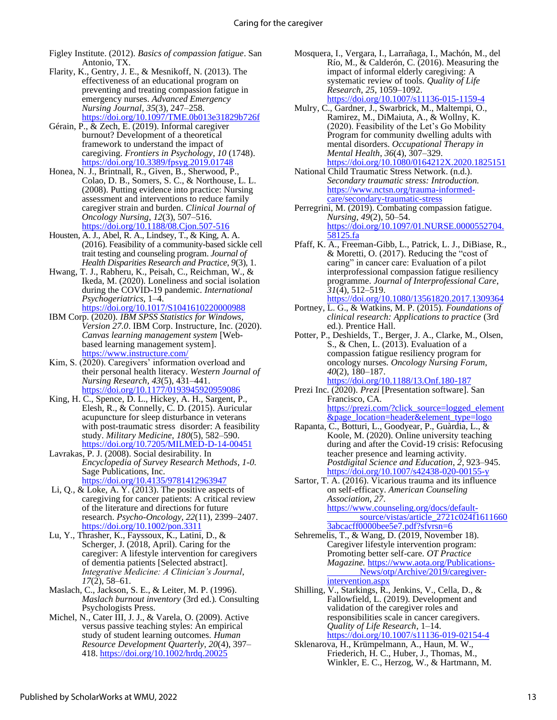Figley Institute. (2012). *Basics of compassion fatigue*. San Antonio, TX.

- Flarity, K., Gentry, J. E., & Mesnikoff, N. (2013). The effectiveness of an educational program on preventing and treating compassion fatigue in emergency nurses. *Advanced Emergency Nursing Journal*, *35*(3), 247–258. <https://doi.org/10.1097/TME.0b013e31829b726f>
- Gérain, P., & Zech, E. (2019). Informal caregiver burnout? Development of a theoretical framework to understand the impact of caregiving. *Frontiers in Psychology*, *10* (1748). <https://doi.org/10.3389/fpsyg.2019.01748>
- Honea, N. J., Brintnall, R., Given, B., Sherwood, P., Colao, D. B., Somers, S. C., & Northouse, L. L. (2008). Putting evidence into practice: Nursing assessment and interventions to reduce family caregiver strain and burden. *Clinical Journal of Oncology Nursing*, *12*(3), 507–516. <https://doi.org/10.1188/08.Cjon.507-516>
- Housten, A. J., Abel, R. A., Lindsey, T., & King, A. A. (2016). Feasibility of a community-based sickle cell trait testing and counseling program. *Journal of Health Disparities Research and Practice*, *9*(3), 1.
- Hwang, T. J., Rabheru, K., Peisah, C., Reichman, W., & Ikeda, M. (2020). Loneliness and social isolation during the COVID-19 pandemic. *International Psychogeriatrics*, 1–4. <https://doi.org/10.1017/S1041610220000988>
- IBM Corp. (2020). *IBM SPSS Statistics for Windows, Version 27.0*. IBM Corp. Instructure, Inc. (2020). *Canvas learning management system* [Webbased learning management system]. <https://www.instructure.com/>
- Kim, S. (2020). Caregivers' information overload and their personal health literacy. *Western Journal of Nursing Research*, *43*(5), 431–441. <https://doi.org/10.1177/0193945920959086>
- King, H. C., Spence, D. L., Hickey, A. H., Sargent, P., Elesh, R., & Connelly, C. D. (2015). Auricular acupuncture for sleep disturbance in veterans with post-traumatic stress disorder: A feasibility study. *Military Medicine*, *180*(5), 582–590. <https://doi.org/10.7205/MILMED-D-14-00451>
- Lavrakas, P. J. (2008). Social desirability. In *Encyclopedia of Survey Research Methods*, *1-0.*  Sage Publications, Inc. <https://doi.org/10.4135/9781412963947>
- Li, Q., & Loke, A. Y. (2013). The positive aspects of caregiving for cancer patients: A critical review of the literature and directions for future research. *Psycho-Oncology*, *22*(11), 2399–2407. <https://doi.org/10.1002/pon.3311>
- Lu, Y., Thrasher, K., Fayssoux, K., Latini, D., & Scherger, J. (2018, April). Caring for the caregiver: A lifestyle intervention for caregivers of dementia patients [Selected abstract]. *Integrative Medicine: A Clinician's Journal*, *17*(2), 58–61.
- Maslach, C., Jackson, S. E., & Leiter, M. P. (1996). *Maslach burnout inventory* (3rd ed.)*.* Consulting Psychologists Press.
- Michel, N., Cater III, J. J., & Varela, O. (2009). Active versus passive teaching styles: An empirical study of student learning outcomes. *Human Resource Development Quarterly*, *20*(4), 397– 418.<https://doi.org/10.1002/hrdq.20025>
- Mosquera, I., Vergara, I., Larrañaga, I., Machón, M., del Río, M., & Calderón, C. (2016). Measuring the impact of informal elderly caregiving: A systematic review of tools. *Quality of Life Research*, *25*, 1059–1092. <https://doi.org/10.1007/s11136-015-1159-4>
- Mulry, C., Gardner, J., Swarbrick, M., Maltempi, O., Ramirez, M., DiMaiuta, A., & Wollny, K. (2020). Feasibility of the Let's Go Mobility Program for community dwelling adults with mental disorders. *Occupational Therapy in Mental Health*, *36*(4), 307–329. <https://doi.org/10.1080/0164212X.2020.1825151>
- National Child Traumatic Stress Network. (n.d.). *Secondary traumatic stress: Introduction.*  [https://www.nctsn.org/trauma-informed](https://www.nctsn.org/trauma-informed-care/secondary-traumatic-stress)[care/secondary-traumatic-stress](https://www.nctsn.org/trauma-informed-care/secondary-traumatic-stress)
- Perregrini, M. (2019). Combating compassion fatigue. *Nursing*, *49*(2), 50–54. [https://doi.org/10.1097/01.NURSE.0000552704.](https://doi.org/10.1097/01.NURSE.0000552704.58125.fa) [58125.fa](https://doi.org/10.1097/01.NURSE.0000552704.58125.fa)
- Pfaff, K. A., Freeman-Gibb, L., Patrick, L. J., DiBiase, R., & Moretti, O. (2017). Reducing the "cost of caring" in cancer care: Evaluation of a pilot interprofessional compassion fatigue resiliency programme. *Journal of Interprofessional Care*, *31*(4), 512–519.
- <https://doi.org/10.1080/13561820.2017.1309364> Portney, L. G., & Watkins, M. P. (2015). *Foundations of clinical research: Applications to practice* (3rd ed.). Prentice Hall.
- Potter, P., Deshields, T., Berger, J. A., Clarke, M., Olsen, S., & Chen, L. (2013). Evaluation of a compassion fatigue resiliency program for oncology nurses*. Oncology Nursing Forum*, *40*(2), 180–187. <https://doi.org/10.1188/13.Onf.180-187>
- Prezi Inc. (2020). *Prezi* [Presentation software]. San Francisco, CA. [https://prezi.com/?click\\_source=logged\\_element](https://prezi.com/?click_source=logged_element&page_location=header&element_type=logo) [&page\\_location=header&element\\_type=logo](https://prezi.com/?click_source=logged_element&page_location=header&element_type=logo)
- Rapanta, C., Botturi, L., Goodyear, P., Guàrdia, L., & Koole, M. (2020). Online university teaching during and after the Covid-19 crisis: Refocusing teacher presence and learning activity. *Postdigital Science and Education*, *2*, 923–945. <https://doi.org/10.1007/s42438-020-00155-y>
- Sartor, T. A. (2016). Vicarious trauma and its influence on self-efficacy. *American Counseling Association*, *27*. [https://www.counseling.org/docs/default](https://www.counseling.org/docs/default-%09source/vistas/article_2721c024f16116603abcacff0000bee5e7.pdf?sfvrsn=6)[source/vistas/article\\_2721c024f1611660](https://www.counseling.org/docs/default-%09source/vistas/article_2721c024f16116603abcacff0000bee5e7.pdf?sfvrsn=6) [3abcacff0000bee5e7.pdf?sfvrsn=6](https://www.counseling.org/docs/default-%09source/vistas/article_2721c024f16116603abcacff0000bee5e7.pdf?sfvrsn=6)
- Sehremelis, T., & Wang, D. (2019, November 18). Caregiver lifestyle intervention program: Promoting better self-care. *OT Practice Magazine.* [https://www.aota.org/Publications-](https://www.aota.org/Publications-%09News/otp/Archive/2019/caregiver-intervention.aspx)[News/otp/Archive/2019/caregiver](https://www.aota.org/Publications-%09News/otp/Archive/2019/caregiver-intervention.aspx)[intervention.aspx](https://www.aota.org/Publications-%09News/otp/Archive/2019/caregiver-intervention.aspx)
- Shilling, V., Starkings, R., Jenkins, V., Cella, D., & Fallowfield, L. (2019). Development and validation of the caregiver roles and responsibilities scale in cancer caregivers. *Quality of Life Research*, 1–14. <https://doi.org/10.1007/s11136-019-02154-4>
- Sklenarova, H., Krümpelmann, A., Haun, M. W., Friederich, H. C., Huber, J., Thomas, M., Winkler, E. C., Herzog, W., & Hartmann, M.